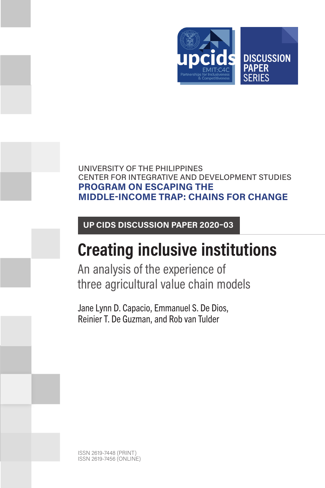

# UNIVERSITY OF THE PHILIPPINES CENTER FOR INTEGRATIVE AND DEVELOPMENT STUDIES **PROGRAM ON ESCAPING THE MIDDLE-INCOME TRAP: CHAINS FOR CHANGE**

# **UP CIDS DISCUSSION PAPER 2020–03**

# **Creating inclusive institutions**

An analysis of the experience of three agricultural value chain models

Jane Lynn D. Capacio, Emmanuel S. De Dios, Reinier T. De Guzman, and Rob van Tulder

ISSN 2619-7448 (PRINT) ISSN 2619-7456 (ONLINE)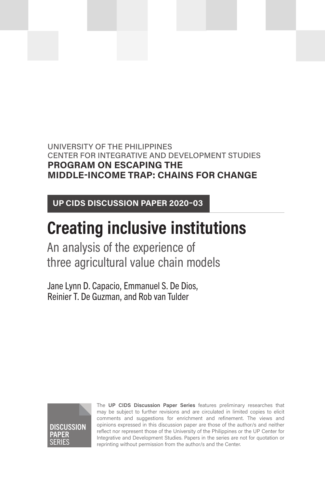# UNIVERSITY OF THE PHILIPPINES CENTER FOR INTEGRATIVE AND DEVELOPMENT STUDIES **PROGRAM ON ESCAPING THE MIDDLE-INCOME TRAP: CHAINS FOR CHANGE**

**UP CIDS DISCUSSION PAPER 2020–03**

# **Creating inclusive institutions**

An analysis of the experience of three agricultural value chain models

Jane Lynn D. Capacio, Emmanuel S. De Dios, Reinier T. De Guzman, and Rob van Tulder



The **UP CIDS Discussion Paper Series** features preliminary researches that may be subject to further revisions and are circulated in limited copies to elicit comments and suggestions for enrichment and refinement. The views and opinions expressed in this discussion paper are those of the author/s and neither reflect nor represent those of the University of the Philippines or the UP Center for Integrative and Development Studies. Papers in the series are not for quotation or reprinting without permission from the author/s and the Center.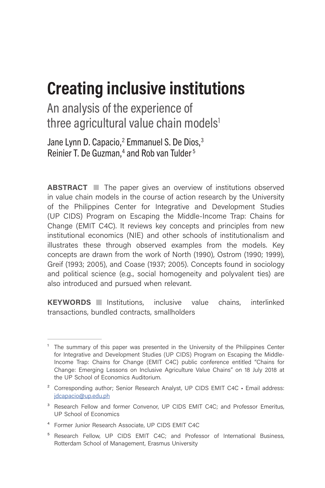# **Creating inclusive institutions**

An analysis of the experience of three agricultural value chain models<sup>1</sup>

Jane Lynn D. Capacio,<sup>2</sup> Emmanuel S. De Dios,<sup>3</sup> Reinier T. De Guzman,<sup>4</sup> and Rob van Tulder<sup>5</sup>

**ABSTRACT** The paper gives an overview of institutions observed in value chain models in the course of action research by the University of the Philippines Center for Integrative and Development Studies (UP CIDS) Program on Escaping the Middle-Income Trap: Chains for Change (EMIT C4C). It reviews key concepts and principles from new institutional economics (NIE) and other schools of institutionalism and illustrates these through observed examples from the models. Key concepts are drawn from the work of North (1990), Ostrom (1990; 1999), Greif (1993; 2005), and Coase (1937; 2005). Concepts found in sociology and political science (e.g., social homogeneity and polyvalent ties) are also introduced and pursued when relevant.

**KEYWORDS** Institutions, inclusive value chains, interlinked transactions, bundled contracts, smallholders

- ⁴ Former Junior Research Associate, UP CIDS EMIT C4C
- <sup>5</sup> Research Fellow, UP CIDS EMIT C4C; and Professor of International Business, Rotterdam School of Management, Erasmus University

 $<sup>1</sup>$  The summary of this paper was presented in the University of the Philippines Center</sup> for Integrative and Development Studies (UP CIDS) Program on Escaping the Middle-Income Trap: Chains for Change (EMIT C4C) public conference entitled "Chains for Change: Emerging Lessons on Inclusive Agriculture Value Chains" on 18 July 2018 at the UP School of Economics Auditorium.

<sup>&</sup>lt;sup>2</sup> Corresponding author; Senior Research Analyst, UP CIDS EMIT C4C · Email address: [jdcapacio@up.edu.ph](mailto:jdcapacio%40up.edu.ph?subject=)

<sup>&</sup>lt;sup>3</sup> Research Fellow and former Convenor, UP CIDS EMIT C4C; and Professor Emeritus, UP School of Economics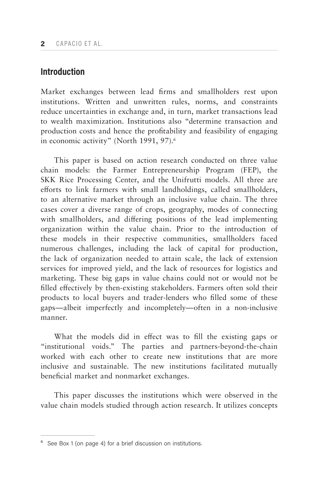## **Introduction**

Market exchanges between lead firms and smallholders rest upon institutions. Written and unwritten rules, norms, and constraints reduce uncertainties in exchange and, in turn, market transactions lead to wealth maximization. Institutions also "determine transaction and production costs and hence the profitability and feasibility of engaging in economic activity" (North 1991, 97).<sup>6</sup>

This paper is based on action research conducted on three value chain models: the Farmer Entrepreneurship Program (FEP), the SKK Rice Processing Center, and the Unifrutti models. All three are efforts to link farmers with small landholdings, called smallholders, to an alternative market through an inclusive value chain. The three cases cover a diverse range of crops, geography, modes of connecting with smallholders, and differing positions of the lead implementing organization within the value chain. Prior to the introduction of these models in their respective communities, smallholders faced numerous challenges, including the lack of capital for production, the lack of organization needed to attain scale, the lack of extension services for improved yield, and the lack of resources for logistics and marketing. These big gaps in value chains could not or would not be filled effectively by then-existing stakeholders. Farmers often sold their products to local buyers and trader-lenders who filled some of these gaps—albeit imperfectly and incompletely—often in a non-inclusive manner.

What the models did in effect was to fill the existing gaps or "institutional voids." The parties and partners-beyond-the-chain worked with each other to create new institutions that are more inclusive and sustainable. The new institutions facilitated mutually beneficial market and nonmarket exchanges.

This paper discusses the institutions which were observed in the value chain models studied through action research. It utilizes concepts

<sup>&</sup>lt;sup>6</sup> See Box 1 (on page 4) for a brief discussion on institutions.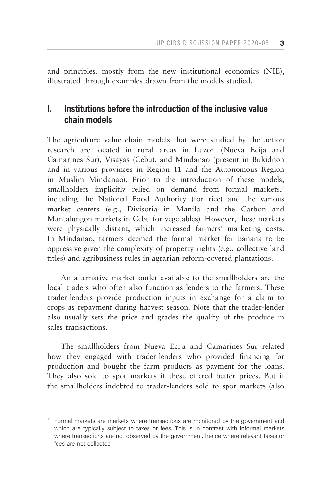and principles, mostly from the new institutional economics (NIE), illustrated through examples drawn from the models studied.

# **I. Institutions before the introduction of the inclusive value chain models**

The agriculture value chain models that were studied by the action research are located in rural areas in Luzon (Nueva Ecija and Camarines Sur), Visayas (Cebu), and Mindanao (present in Bukidnon and in various provinces in Region 11 and the Autonomous Region in Muslim Mindanao). Prior to the introduction of these models, smallholders implicitly relied on demand from formal markets,<sup>7</sup> including the National Food Authority (for rice) and the various market centers (e.g., Divisoria in Manila and the Carbon and Mantalungon markets in Cebu for vegetables). However, these markets were physically distant, which increased farmers' marketing costs. In Mindanao, farmers deemed the formal market for banana to be oppressive given the complexity of property rights (e.g., collective land titles) and agribusiness rules in agrarian reform-covered plantations.

An alternative market outlet available to the smallholders are the local traders who often also function as lenders to the farmers. These trader-lenders provide production inputs in exchange for a claim to crops as repayment during harvest season. Note that the trader-lender also usually sets the price and grades the quality of the produce in sales transactions.

The smallholders from Nueva Ecija and Camarines Sur related how they engaged with trader-lenders who provided financing for production and bought the farm products as payment for the loans. They also sold to spot markets if these offered better prices. But if the smallholders indebted to trader-lenders sold to spot markets (also

 $\frac{7}{1}$  Formal markets are markets where transactions are monitored by the government and which are typically subject to taxes or fees. This is in contrast with informal markets where transactions are not observed by the government, hence where relevant taxes or fees are not collected.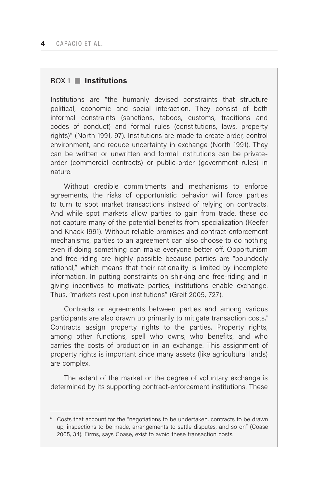### BOX 1 **Institutions**

Institutions are "the humanly devised constraints that structure political, economic and social interaction. They consist of both informal constraints (sanctions, taboos, customs, traditions and codes of conduct) and formal rules (constitutions, laws, property rights)" (North 1991, 97). Institutions are made to create order, control environment, and reduce uncertainty in exchange (North 1991). They can be written or unwritten and formal institutions can be privateorder (commercial contracts) or public-order (government rules) in nature.

Without credible commitments and mechanisms to enforce agreements, the risks of opportunistic behavior will force parties to turn to spot market transactions instead of relying on contracts. And while spot markets allow parties to gain from trade, these do not capture many of the potential benefits from specialization (Keefer and Knack 1991). Without reliable promises and contract-enforcement mechanisms, parties to an agreement can also choose to do nothing even if doing something can make everyone better off. Opportunism and free-riding are highly possible because parties are "boundedly rational," which means that their rationality is limited by incomplete information. In putting constraints on shirking and free-riding and in giving incentives to motivate parties, institutions enable exchange. Thus, "markets rest upon institutions" (Greif 2005, 727).

Contracts or agreements between parties and among various participants are also drawn up primarily to mitigate transaction costs.<sup>\*</sup> Contracts assign property rights to the parties. Property rights, among other functions, spell who owns, who benefits, and who carries the costs of production in an exchange. This assignment of property rights is important since many assets (like agricultural lands) are complex.

The extent of the market or the degree of voluntary exchange is determined by its supporting contract-enforcement institutions. These

<sup>\*</sup> Costs that account for the "negotiations to be undertaken, contracts to be drawn up, inspections to be made, arrangements to settle disputes, and so on" (Coase 2005, 34). Firms, says Coase, exist to avoid these transaction costs.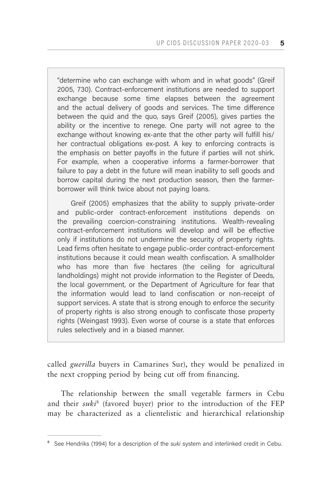"determine who can exchange with whom and in what goods" (Greif 2005, 730). Contract-enforcement institutions are needed to support exchange because some time elapses between the agreement and the actual delivery of goods and services. The time difference between the quid and the quo, says Greif (2005), gives parties the ability or the incentive to renege. One party will not agree to the exchange without knowing ex-ante that the other party will fulfill his/ her contractual obligations ex-post. A key to enforcing contracts is the emphasis on better payoffs in the future if parties will not shirk. For example, when a cooperative informs a farmer-borrower that failure to pay a debt in the future will mean inability to sell goods and borrow capital during the next production season, then the farmerborrower will think twice about not paying loans.

Greif (2005) emphasizes that the ability to supply private-order and public-order contract-enforcement institutions depends on the prevailing coercion-constraining institutions. Wealth-revealing contract-enforcement institutions will develop and will be effective only if institutions do not undermine the security of property rights. Lead firms often hesitate to engage public-order contract-enforcement institutions because it could mean wealth confiscation. A smallholder who has more than five hectares (the ceiling for agricultural landholdings) might not provide information to the Register of Deeds, the local government, or the Department of Agriculture for fear that the information would lead to land confiscation or non-receipt of support services. A state that is strong enough to enforce the security of property rights is also strong enough to confiscate those property rights (Weingast 1993). Even worse of course is a state that enforces rules selectively and in a biased manner.

called *guerilla* buyers in Camarines Sur), they would be penalized in the next cropping period by being cut off from financing.

The relationship between the small vegetable farmers in Cebu and their *suki*<sup>8</sup> (favored buyer) prior to the introduction of the FEP may be characterized as a clientelistic and hierarchical relationship

<sup>&</sup>lt;sup>8</sup> See Hendriks (1994) for a description of the *suki* system and interlinked credit in Cebu.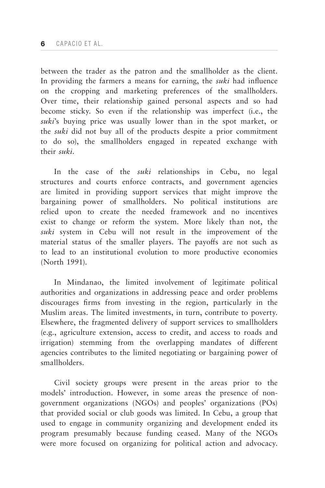between the trader as the patron and the smallholder as the client. In providing the farmers a means for earning, the *suki* had influence on the cropping and marketing preferences of the smallholders. Over time, their relationship gained personal aspects and so had become sticky. So even if the relationship was imperfect (i.e., the *suki*'s buying price was usually lower than in the spot market, or the *suki* did not buy all of the products despite a prior commitment to do so), the smallholders engaged in repeated exchange with their *suki*.

In the case of the *suki* relationships in Cebu, no legal structures and courts enforce contracts, and government agencies are limited in providing support services that might improve the bargaining power of smallholders. No political institutions are relied upon to create the needed framework and no incentives exist to change or reform the system. More likely than not, the *suki* system in Cebu will not result in the improvement of the material status of the smaller players. The payoffs are not such as to lead to an institutional evolution to more productive economies (North 1991).

In Mindanao, the limited involvement of legitimate political authorities and organizations in addressing peace and order problems discourages firms from investing in the region, particularly in the Muslim areas. The limited investments, in turn, contribute to poverty. Elsewhere, the fragmented delivery of support services to smallholders (e.g., agriculture extension, access to credit, and access to roads and irrigation) stemming from the overlapping mandates of different agencies contributes to the limited negotiating or bargaining power of smallholders.

Civil society groups were present in the areas prior to the models' introduction. However, in some areas the presence of nongovernment organizations (NGOs) and peoples' organizations (POs) that provided social or club goods was limited. In Cebu, a group that used to engage in community organizing and development ended its program presumably because funding ceased. Many of the NGOs were more focused on organizing for political action and advocacy.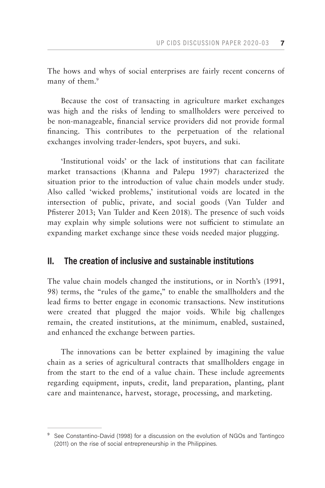The hows and whys of social enterprises are fairly recent concerns of many of them.<sup>9</sup>

Because the cost of transacting in agriculture market exchanges was high and the risks of lending to smallholders were perceived to be non-manageable, financial service providers did not provide formal financing. This contributes to the perpetuation of the relational exchanges involving trader-lenders, spot buyers, and suki.

'Institutional voids' or the lack of institutions that can facilitate market transactions (Khanna and Palepu 1997) characterized the situation prior to the introduction of value chain models under study. Also called 'wicked problems,' institutional voids are located in the intersection of public, private, and social goods (Van Tulder and Pfisterer 2013; Van Tulder and Keen 2018). The presence of such voids may explain why simple solutions were not sufficient to stimulate an expanding market exchange since these voids needed major plugging.

## **II. The creation of inclusive and sustainable institutions**

The value chain models changed the institutions, or in North's (1991, 98) terms, the "rules of the game," to enable the smallholders and the lead firms to better engage in economic transactions. New institutions were created that plugged the major voids. While big challenges remain, the created institutions, at the minimum, enabled, sustained, and enhanced the exchange between parties.

The innovations can be better explained by imagining the value chain as a series of agricultural contracts that smallholders engage in from the start to the end of a value chain. These include agreements regarding equipment, inputs, credit, land preparation, planting, plant care and maintenance, harvest, storage, processing, and marketing.

<sup>&</sup>lt;sup>9</sup> See Constantino-David (1998) for a discussion on the evolution of NGOs and Tantingco (2011) on the rise of social entrepreneurship in the Philippines.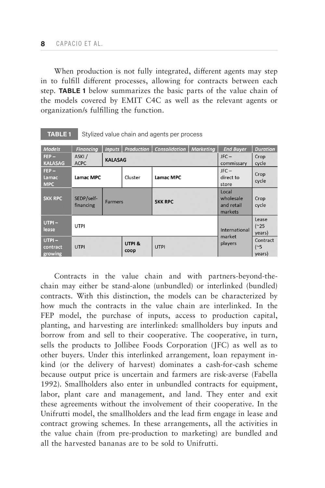When production is not fully integrated, different agents may step in to fulfill different processes, allowing for contracts between each step. **TABLE 1** below summarizes the basic parts of the value chain of the models covered by EMIT C4C as well as the relevant agents or organization/s fulfilling the function.

| <b>Models</b>                   | <b>Financing</b>        |                |                | Inputs   Production   Consolidation   Marketing |            | <b>End Buver</b>                            | <b>Duration</b>                |
|---------------------------------|-------------------------|----------------|----------------|-------------------------------------------------|------------|---------------------------------------------|--------------------------------|
| $FEP -$                         | ASKI/<br><b>KALASAG</b> |                |                |                                                 |            | $JFC -$                                     | Crop                           |
| <b>KALASAG</b>                  | <b>ACPC</b>             |                |                |                                                 | commissary | cycle                                       |                                |
| $FEP -$<br>Lamac<br><b>MPC</b>  | Lamac MPC               |                | Cluster        | Lamac MPC                                       |            | $JFC-$<br>direct to<br>store                | Crop<br>cycle                  |
| <b>SKK RPC</b>                  | SEDP/self-<br>financing | <b>Farmers</b> |                | <b>SKK RPC</b>                                  |            | Local<br>wholesale<br>and retail<br>markets | Crop<br>cycle                  |
| $UTPI -$<br>lease               | <b>UTPI</b>             |                |                |                                                 |            | International<br>market                     | Lease<br>$(^{25}$<br>years)    |
| $UTPI -$<br>contract<br>growing | <b>UTPI</b>             |                | UTPI &<br>coop | <b>UTPI</b>                                     |            | players                                     | Contract<br>$(^{~}5$<br>years) |

**TABLE 1** Stylized value chain and agents per process

Contracts in the value chain and with partners-beyond-thechain may either be stand-alone (unbundled) or interlinked (bundled) contracts. With this distinction, the models can be characterized by how much the contracts in the value chain are interlinked. In the FEP model, the purchase of inputs, access to production capital, planting, and harvesting are interlinked: smallholders buy inputs and borrow from and sell to their cooperative. The cooperative, in turn, sells the products to Jollibee Foods Corporation (JFC) as well as to other buyers. Under this interlinked arrangement, loan repayment inkind (or the delivery of harvest) dominates a cash-for-cash scheme because output price is uncertain and farmers are risk-averse (Fabella 1992). Smallholders also enter in unbundled contracts for equipment, labor, plant care and management, and land. They enter and exit these agreements without the involvement of their cooperative. In the Unifrutti model, the smallholders and the lead firm engage in lease and contract growing schemes. In these arrangements, all the activities in the value chain (from pre-production to marketing) are bundled and all the harvested bananas are to be sold to Unifrutti.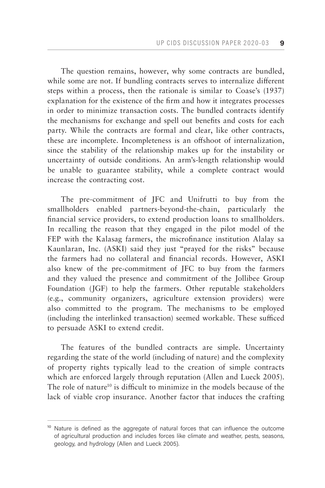The question remains, however, why some contracts are bundled, while some are not. If bundling contracts serves to internalize different steps within a process, then the rationale is similar to Coase's (1937) explanation for the existence of the firm and how it integrates processes in order to minimize transaction costs. The bundled contracts identify the mechanisms for exchange and spell out benefits and costs for each party. While the contracts are formal and clear, like other contracts, these are incomplete. Incompleteness is an offshoot of internalization, since the stability of the relationship makes up for the instability or uncertainty of outside conditions. An arm's-length relationship would be unable to guarantee stability, while a complete contract would increase the contracting cost.

The pre-commitment of JFC and Unifrutti to buy from the smallholders enabled partners-beyond-the-chain, particularly the financial service providers, to extend production loans to smallholders. In recalling the reason that they engaged in the pilot model of the FEP with the Kalasag farmers, the microfinance institution Alalay sa Kaunlaran, Inc. (ASKI) said they just "prayed for the risks" because the farmers had no collateral and financial records. However, ASKI also knew of the pre-commitment of JFC to buy from the farmers and they valued the presence and commitment of the Jollibee Group Foundation (JGF) to help the farmers. Other reputable stakeholders (e.g., community organizers, agriculture extension providers) were also committed to the program. The mechanisms to be employed (including the interlinked transaction) seemed workable. These sufficed to persuade ASKI to extend credit.

The features of the bundled contracts are simple. Uncertainty regarding the state of the world (including of nature) and the complexity of property rights typically lead to the creation of simple contracts which are enforced largely through reputation (Allen and Lueck 2005). The role of nature<sup>10</sup> is difficult to minimize in the models because of the lack of viable crop insurance. Another factor that induces the crafting

<sup>&</sup>lt;sup>10</sup> Nature is defined as the aggregate of natural forces that can influence the outcome of agricultural production and includes forces like climate and weather, pests, seasons, geology, and hydrology (Allen and Lueck 2005).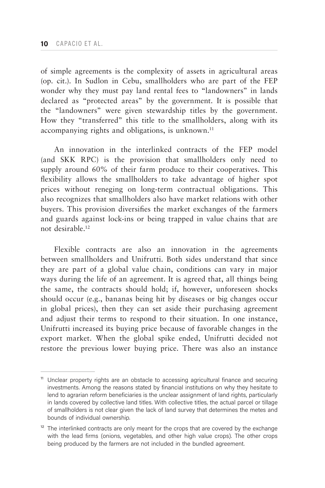of simple agreements is the complexity of assets in agricultural areas (op. cit.). In Sudlon in Cebu, smallholders who are part of the FEP wonder why they must pay land rental fees to "landowners" in lands declared as "protected areas" by the government. It is possible that the "landowners" were given stewardship titles by the government. How they "transferred" this title to the smallholders, along with its accompanying rights and obligations, is unknown.<sup>11</sup>

An innovation in the interlinked contracts of the FEP model (and SKK RPC) is the provision that smallholders only need to supply around 60% of their farm produce to their cooperatives. This flexibility allows the smallholders to take advantage of higher spot prices without reneging on long-term contractual obligations. This also recognizes that smallholders also have market relations with other buyers. This provision diversifies the market exchanges of the farmers and guards against lock-ins or being trapped in value chains that are not desirable.12

Flexible contracts are also an innovation in the agreements between smallholders and Unifrutti. Both sides understand that since they are part of a global value chain, conditions can vary in major ways during the life of an agreement. It is agreed that, all things being the same, the contracts should hold; if, however, unforeseen shocks should occur (e.g., bananas being hit by diseases or big changes occur in global prices), then they can set aside their purchasing agreement and adjust their terms to respond to their situation. In one instance, Unifrutti increased its buying price because of favorable changes in the export market. When the global spike ended, Unifrutti decided not restore the previous lower buying price. There was also an instance

<sup>&</sup>lt;sup>11</sup> Unclear property rights are an obstacle to accessing agricultural finance and securing investments. Among the reasons stated by financial institutions on why they hesitate to lend to agrarian reform beneficiaries is the unclear assignment of land rights, particularly in lands covered by collective land titles. With collective titles, the actual parcel or tillage of smallholders is not clear given the lack of land survey that determines the metes and bounds of individual ownership.

 $12$  The interlinked contracts are only meant for the crops that are covered by the exchange with the lead firms (onions, vegetables, and other high value crops). The other crops being produced by the farmers are not included in the bundled agreement.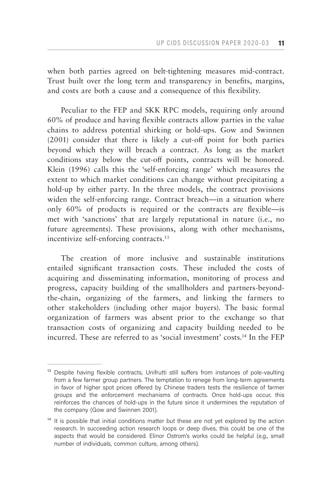when both parties agreed on belt-tightening measures mid-contract. Trust built over the long term and transparency in benefits, margins, and costs are both a cause and a consequence of this flexibility.

Peculiar to the FEP and SKK RPC models, requiring only around 60% of produce and having flexible contracts allow parties in the value chains to address potential shirking or hold-ups. Gow and Swinnen (2001) consider that there is likely a cut-off point for both parties beyond which they will breach a contract. As long as the market conditions stay below the cut-off points, contracts will be honored. Klein (1996) calls this the 'self-enforcing range' which measures the extent to which market conditions can change without precipitating a hold-up by either party. In the three models, the contract provisions widen the self-enforcing range. Contract breach—in a situation where only 60% of products is required or the contracts are flexible—is met with 'sanctions' that are largely reputational in nature (i.e., no future agreements). These provisions, along with other mechanisms, incentivize self-enforcing contracts.<sup>13</sup>

The creation of more inclusive and sustainable institutions entailed significant transaction costs. These included the costs of acquiring and disseminating information, monitoring of process and progress, capacity building of the smallholders and partners-beyondthe-chain, organizing of the farmers, and linking the farmers to other stakeholders (including other major buyers). The basic formal organization of farmers was absent prior to the exchange so that transaction costs of organizing and capacity building needed to be incurred. These are referred to as 'social investment' costs.14 In the FEP

<sup>&</sup>lt;sup>13</sup> Despite having flexible contracts, Unifrutti still suffers from instances of pole-vaulting from a few farmer group partners. The temptation to renege from long-term agreements in favor of higher spot prices offered by Chinese traders tests the resilience of farmer groups and the enforcement mechanisms of contracts. Once hold-ups occur, this reinforces the chances of hold-ups in the future since it undermines the reputation of the company (Gow and Swinnen 2001).

<sup>&</sup>lt;sup>14</sup> It is possible that initial conditions matter but these are not yet explored by the action research. In succeeding action research loops or deep dives, this could be one of the aspects that would be considered. Elinor Ostrom's works could be helpful (e.g., small number of individuals, common culture, among others).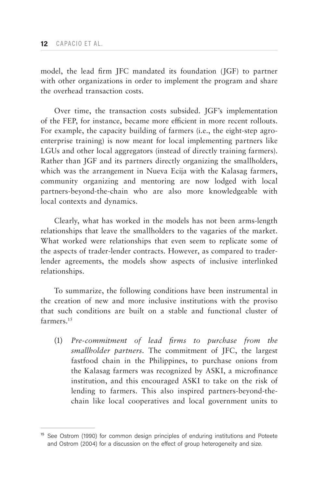model, the lead firm JFC mandated its foundation (JGF) to partner with other organizations in order to implement the program and share the overhead transaction costs.

Over time, the transaction costs subsided. JGF's implementation of the FEP, for instance, became more efficient in more recent rollouts. For example, the capacity building of farmers (i.e., the eight-step agroenterprise training) is now meant for local implementing partners like LGUs and other local aggregators (instead of directly training farmers). Rather than JGF and its partners directly organizing the smallholders, which was the arrangement in Nueva Ecija with the Kalasag farmers, community organizing and mentoring are now lodged with local partners-beyond-the-chain who are also more knowledgeable with local contexts and dynamics.

Clearly, what has worked in the models has not been arms-length relationships that leave the smallholders to the vagaries of the market. What worked were relationships that even seem to replicate some of the aspects of trader-lender contracts. However, as compared to traderlender agreements, the models show aspects of inclusive interlinked relationships.

To summarize, the following conditions have been instrumental in the creation of new and more inclusive institutions with the proviso that such conditions are built on a stable and functional cluster of farmers<sup>15</sup>

(1) *Pre-commitment of lead firms to purchase from the smallholder partners.* The commitment of JFC, the largest fastfood chain in the Philippines, to purchase onions from the Kalasag farmers was recognized by ASKI, a microfinance institution, and this encouraged ASKI to take on the risk of lending to farmers. This also inspired partners-beyond-thechain like local cooperatives and local government units to

<sup>&</sup>lt;sup>15</sup> See Ostrom (1990) for common design principles of enduring institutions and Poteete and Ostrom (2004) for a discussion on the effect of group heterogeneity and size.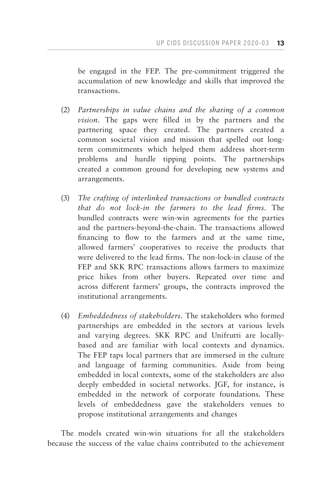be engaged in the FEP. The pre-commitment triggered the accumulation of new knowledge and skills that improved the transactions.

- (2) *Partnerships in value chains and the sharing of a common vision.* The gaps were filled in by the partners and the partnering space they created. The partners created a common societal vision and mission that spelled out longterm commitments which helped them address short-term problems and hurdle tipping points. The partnerships created a common ground for developing new systems and arrangements.
- (3) *The crafting of interlinked transactions or bundled contracts that do not lock-in the farmers to the lead firms.* The bundled contracts were win-win agreements for the parties and the partners-beyond-the-chain. The transactions allowed financing to flow to the farmers and at the same time, allowed farmers' cooperatives to receive the products that were delivered to the lead firms. The non-lock-in clause of the FEP and SKK RPC transactions allows farmers to maximize price hikes from other buyers. Repeated over time and across different farmers' groups, the contracts improved the institutional arrangements.
- (4) *Embeddedness of stakeholders.* The stakeholders who formed partnerships are embedded in the sectors at various levels and varying degrees. SKK RPC and Unifrutti are locallybased and are familiar with local contexts and dynamics. The FEP taps local partners that are immersed in the culture and language of farming communities. Aside from being embedded in local contexts, some of the stakeholders are also deeply embedded in societal networks. JGF, for instance, is embedded in the network of corporate foundations. These levels of embeddedness gave the stakeholders venues to propose institutional arrangements and changes

The models created win-win situations for all the stakeholders because the success of the value chains contributed to the achievement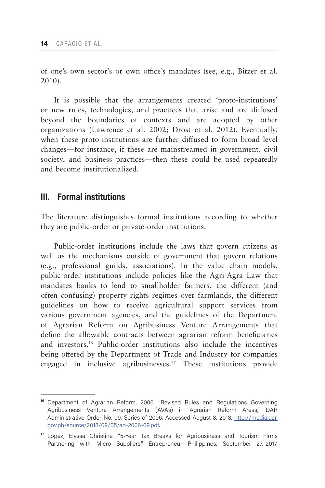of one's own sector's or own office's mandates (see, e.g., Bitzer et al. 2010).

It is possible that the arrangements created 'proto-institutions' or new rules, technologies, and practices that arise and are diffused beyond the boundaries of contexts and are adopted by other organizations (Lawrence et al. 2002; Drost et al. 2012). Eventually, when these proto-institutions are further diffused to form broad level changes—for instance, if these are mainstreamed in government, civil society, and business practices—then these could be used repeatedly and become institutionalized.

## **III. Formal institutions**

The literature distinguishes formal institutions according to whether they are public-order or private-order institutions.

Public-order institutions include the laws that govern citizens as well as the mechanisms outside of government that govern relations (e.g., professional guilds, associations). In the value chain models, public-order institutions include policies like the Agri-Agra Law that mandates banks to lend to smallholder farmers, the different (and often confusing) property rights regimes over farmlands, the different guidelines on how to receive agricultural support services from various government agencies, and the guidelines of the Department of Agrarian Reform on Agribusiness Venture Arrangements that define the allowable contracts between agrarian reform beneficiaries and investors.16 Public-order institutions also include the incentives being offered by the Department of Trade and Industry for companies engaged in inclusive agribusinesses.17 These institutions provide

<sup>&</sup>lt;sup>16</sup> Department of Agrarian Reform. 2006. "Revised Rules and Regulations Governing Agribusiness Venture Arrangements (AVAs) in Agrarian Reform Areas," DAR Administrative Order No. 09, Series of 2006. Accessed August 8, 2018. [http://media.dar.](http://media.dar.gov.ph/source/2018/09/05/ao-2006-09.pdf) [gov.ph/source/2018/09/05/ao-2006-09.pdf](http://media.dar.gov.ph/source/2018/09/05/ao-2006-09.pdf).

<sup>&</sup>lt;sup>17</sup> Lopez, Elyssa Christine. "5-Year Tax Breaks for Agribusiness and Tourism Firms Partnering with Micro Suppliers." Entrepreneur Philippines, September 27, 2017.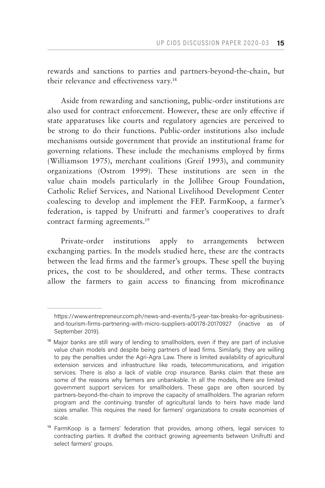rewards and sanctions to parties and partners-beyond-the-chain, but their relevance and effectiveness vary.<sup>18</sup>

Aside from rewarding and sanctioning, public-order institutions are also used for contract enforcement. However, these are only effective if state apparatuses like courts and regulatory agencies are perceived to be strong to do their functions. Public-order institutions also include mechanisms outside government that provide an institutional frame for governing relations. These include the mechanisms employed by firms (Williamson 1975), merchant coalitions (Greif 1993), and community organizations (Ostrom 1999). These institutions are seen in the value chain models particularly in the Jollibee Group Foundation, Catholic Relief Services, and National Livelihood Development Center coalescing to develop and implement the FEP. FarmKoop, a farmer's federation, is tapped by Unifrutti and farmer's cooperatives to draft contract farming agreements.<sup>19</sup>

Private-order institutions apply to arrangements between exchanging parties. In the models studied here, these are the contracts between the lead firms and the farmer's groups. These spell the buying prices, the cost to be shouldered, and other terms. These contracts allow the farmers to gain access to financing from microfinance

https://www.entrepreneur.com.ph/news-and-events/5-year-tax-breaks-for-agribusinessand-tourism-firms-partnering-with-micro-suppliers-a00178-20170927 (inactive as of September 2019).

<sup>&</sup>lt;sup>18</sup> Major banks are still wary of lending to smallholders, even if they are part of inclusive value chain models and despite being partners of lead firms. Similarly, they are willing to pay the penalties under the Agri-Agra Law. There is limited availability of agricultural extension services and infrastructure like roads, telecommunications, and irrigation services. There is also a lack of viable crop insurance. Banks claim that these are some of the reasons why farmers are unbankable. In all the models, there are limited government support services for smallholders. These gaps are often sourced by partners-beyond-the-chain to improve the capacity of smallholders. The agrarian reform program and the continuing transfer of agricultural lands to heirs have made land sizes smaller. This requires the need for farmers' organizations to create economies of scale.

<sup>&</sup>lt;sup>19</sup> FarmKoop is a farmers' federation that provides, among others, legal services to contracting parties. It drafted the contract growing agreements between Unifrutti and select farmers' groups.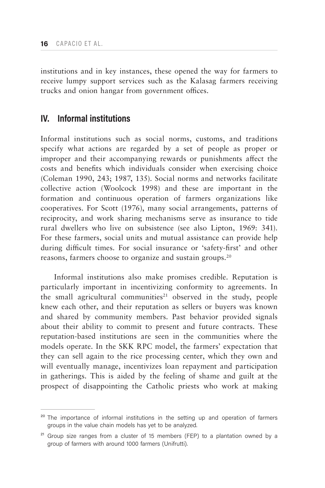institutions and in key instances, these opened the way for farmers to receive lumpy support services such as the Kalasag farmers receiving trucks and onion hangar from government offices.

## **IV. Informal institutions**

Informal institutions such as social norms, customs, and traditions specify what actions are regarded by a set of people as proper or improper and their accompanying rewards or punishments affect the costs and benefits which individuals consider when exercising choice (Coleman 1990, 243; 1987, 135). Social norms and networks facilitate collective action (Woolcock 1998) and these are important in the formation and continuous operation of farmers organizations like cooperatives. For Scott (1976), many social arrangements, patterns of reciprocity, and work sharing mechanisms serve as insurance to tide rural dwellers who live on subsistence (see also Lipton, 1969: 341). For these farmers, social units and mutual assistance can provide help during difficult times. For social insurance or 'safety-first' and other reasons, farmers choose to organize and sustain groups.<sup>20</sup>

Informal institutions also make promises credible. Reputation is particularly important in incentivizing conformity to agreements. In the small agricultural communities<sup>21</sup> observed in the study, people knew each other, and their reputation as sellers or buyers was known and shared by community members. Past behavior provided signals about their ability to commit to present and future contracts. These reputation-based institutions are seen in the communities where the models operate. In the SKK RPC model, the farmers' expectation that they can sell again to the rice processing center, which they own and will eventually manage, incentivizes loan repayment and participation in gatherings. This is aided by the feeling of shame and guilt at the prospect of disappointing the Catholic priests who work at making

 $20$  The importance of informal institutions in the setting up and operation of farmers groups in the value chain models has yet to be analyzed.

 $21$  Group size ranges from a cluster of 15 members (FEP) to a plantation owned by a group of farmers with around 1000 farmers (Unifrutti).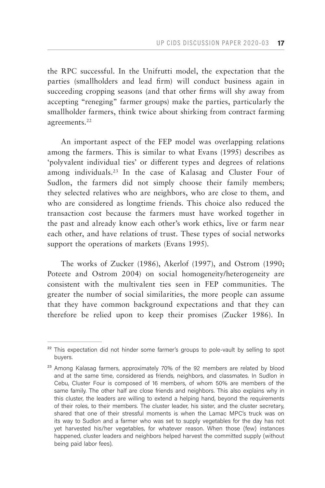the RPC successful. In the Unifrutti model, the expectation that the parties (smallholders and lead firm) will conduct business again in succeeding cropping seasons (and that other firms will shy away from accepting "reneging" farmer groups) make the parties, particularly the smallholder farmers, think twice about shirking from contract farming agreements.<sup>22</sup>

An important aspect of the FEP model was overlapping relations among the farmers. This is similar to what Evans (1995) describes as 'polyvalent individual ties' or different types and degrees of relations among individuals.23 In the case of Kalasag and Cluster Four of Sudlon, the farmers did not simply choose their family members; they selected relatives who are neighbors, who are close to them, and who are considered as longtime friends. This choice also reduced the transaction cost because the farmers must have worked together in the past and already know each other's work ethics, live or farm near each other, and have relations of trust. These types of social networks support the operations of markets (Evans 1995).

The works of Zucker (1986), Akerlof (1997), and Ostrom (1990; Poteete and Ostrom 2004) on social homogeneity/heterogeneity are consistent with the multivalent ties seen in FEP communities. The greater the number of social similarities, the more people can assume that they have common background expectations and that they can therefore be relied upon to keep their promises (Zucker 1986). In

<sup>&</sup>lt;sup>22</sup> This expectation did not hinder some farmer's groups to pole-vault by selling to spot buyers.

<sup>&</sup>lt;sup>23</sup> Among Kalasag farmers, approximately 70% of the 92 members are related by blood and at the same time, considered as friends, neighbors, and classmates. In Sudlon in Cebu, Cluster Four is composed of 16 members, of whom 50% are members of the same family. The other half are close friends and neighbors. This also explains why in this cluster, the leaders are willing to extend a helping hand, beyond the requirements of their roles, to their members. The cluster leader, his sister, and the cluster secretary, shared that one of their stressful moments is when the Lamac MPC's truck was on its way to Sudlon and a farmer who was set to supply vegetables for the day has not yet harvested his/her vegetables, for whatever reason. When those (few) instances happened, cluster leaders and neighbors helped harvest the committed supply (without being paid labor fees).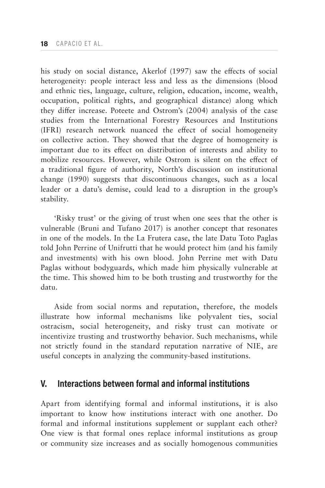his study on social distance, Akerlof (1997) saw the effects of social heterogeneity: people interact less and less as the dimensions (blood and ethnic ties, language, culture, religion, education, income, wealth, occupation, political rights, and geographical distance) along which they differ increase. Poteete and Ostrom's (2004) analysis of the case studies from the International Forestry Resources and Institutions (IFRI) research network nuanced the effect of social homogeneity on collective action. They showed that the degree of homogeneity is important due to its effect on distribution of interests and ability to mobilize resources. However, while Ostrom is silent on the effect of a traditional figure of authority, North's discussion on institutional change (1990) suggests that discontinuous changes, such as a local leader or a datu's demise, could lead to a disruption in the group's stability.

'Risky trust' or the giving of trust when one sees that the other is vulnerable (Bruni and Tufano 2017) is another concept that resonates in one of the models. In the La Frutera case, the late Datu Toto Paglas told John Perrine of Unifrutti that he would protect him (and his family and investments) with his own blood. John Perrine met with Datu Paglas without bodyguards, which made him physically vulnerable at the time. This showed him to be both trusting and trustworthy for the datu.

Aside from social norms and reputation, therefore, the models illustrate how informal mechanisms like polyvalent ties, social ostracism, social heterogeneity, and risky trust can motivate or incentivize trusting and trustworthy behavior. Such mechanisms, while not strictly found in the standard reputation narrative of NIE, are useful concepts in analyzing the community-based institutions.

## **V. Interactions between formal and informal institutions**

Apart from identifying formal and informal institutions, it is also important to know how institutions interact with one another. Do formal and informal institutions supplement or supplant each other? One view is that formal ones replace informal institutions as group or community size increases and as socially homogenous communities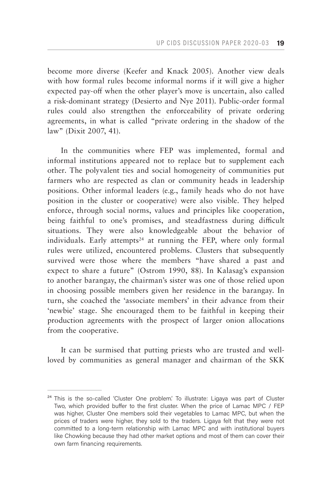become more diverse (Keefer and Knack 2005). Another view deals with how formal rules become informal norms if it will give a higher expected pay-off when the other player's move is uncertain, also called a risk-dominant strategy (Desierto and Nye 2011). Public-order formal rules could also strengthen the enforceability of private ordering agreements, in what is called "private ordering in the shadow of the law" (Dixit 2007, 41).

In the communities where FEP was implemented, formal and informal institutions appeared not to replace but to supplement each other. The polyvalent ties and social homogeneity of communities put farmers who are respected as clan or community heads in leadership positions. Other informal leaders (e.g., family heads who do not have position in the cluster or cooperative) were also visible. They helped enforce, through social norms, values and principles like cooperation, being faithful to one's promises, and steadfastness during difficult situations. They were also knowledgeable about the behavior of individuals. Early attempts<sup>24</sup> at running the FEP, where only formal rules were utilized, encountered problems. Clusters that subsequently survived were those where the members "have shared a past and expect to share a future" (Ostrom 1990, 88). In Kalasag's expansion to another barangay, the chairman's sister was one of those relied upon in choosing possible members given her residence in the barangay. In turn, she coached the 'associate members' in their advance from their 'newbie' stage. She encouraged them to be faithful in keeping their production agreements with the prospect of larger onion allocations from the cooperative.

It can be surmised that putting priests who are trusted and wellloved by communities as general manager and chairman of the SKK

<sup>&</sup>lt;sup>24</sup> This is the so-called 'Cluster One problem'. To illustrate: Ligaya was part of Cluster Two, which provided buffer to the first cluster. When the price of Lamac MPC / FEP was higher, Cluster One members sold their vegetables to Lamac MPC, but when the prices of traders were higher, they sold to the traders. Ligaya felt that they were not committed to a long-term relationship with Lamac MPC and with institutional buyers like Chowking because they had other market options and most of them can cover their own farm financing requirements.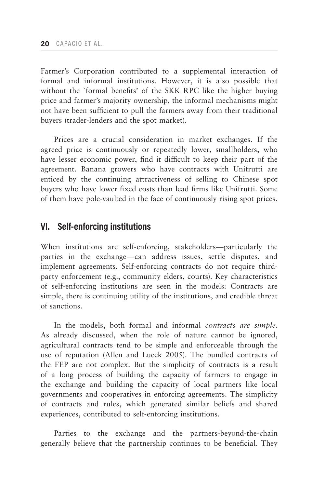Farmer's Corporation contributed to a supplemental interaction of formal and informal institutions. However, it is also possible that without the `formal benefits' of the SKK RPC like the higher buying price and farmer's majority ownership, the informal mechanisms might not have been sufficient to pull the farmers away from their traditional buyers (trader-lenders and the spot market).

Prices are a crucial consideration in market exchanges. If the agreed price is continuously or repeatedly lower, smallholders, who have lesser economic power, find it difficult to keep their part of the agreement. Banana growers who have contracts with Unifrutti are enticed by the continuing attractiveness of selling to Chinese spot buyers who have lower fixed costs than lead firms like Unifrutti. Some of them have pole-vaulted in the face of continuously rising spot prices.

## **VI. Self-enforcing institutions**

When institutions are self-enforcing, stakeholders—particularly the parties in the exchange—can address issues, settle disputes, and implement agreements. Self-enforcing contracts do not require thirdparty enforcement (e.g., community elders, courts). Key characteristics of self-enforcing institutions are seen in the models: Contracts are simple, there is continuing utility of the institutions, and credible threat of sanctions.

In the models, both formal and informal *contracts are simple*. As already discussed, when the role of nature cannot be ignored, agricultural contracts tend to be simple and enforceable through the use of reputation (Allen and Lueck 2005). The bundled contracts of the FEP are not complex. But the simplicity of contracts is a result of a long process of building the capacity of farmers to engage in the exchange and building the capacity of local partners like local governments and cooperatives in enforcing agreements. The simplicity of contracts and rules, which generated similar beliefs and shared experiences, contributed to self-enforcing institutions.

Parties to the exchange and the partners-beyond-the-chain generally believe that the partnership continues to be beneficial. They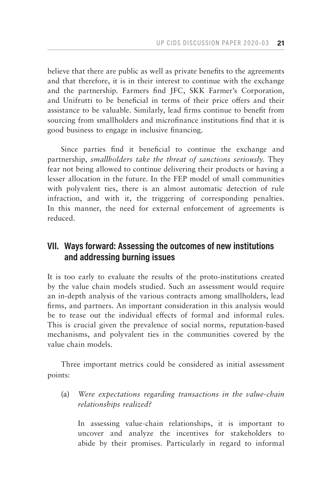believe that there are public as well as private benefits to the agreements and that therefore, it is in their interest to continue with the exchange and the partnership. Farmers find JFC, SKK Farmer's Corporation, and Unifrutti to be beneficial in terms of their price offers and their assistance to be valuable. Similarly, lead firms continue to benefit from sourcing from smallholders and microfinance institutions find that it is good business to engage in inclusive financing.

Since parties find it beneficial to continue the exchange and partnership, *smallholders take the threat of sanctions seriously*. They fear not being allowed to continue delivering their products or having a lesser allocation in the future. In the FEP model of small communities with polyvalent ties, there is an almost automatic detection of rule infraction, and with it, the triggering of corresponding penalties. In this manner, the need for external enforcement of agreements is reduced.

# **VII. Ways forward: Assessing the outcomes of new institutions and addressing burning issues**

It is too early to evaluate the results of the proto-institutions created by the value chain models studied. Such an assessment would require an in-depth analysis of the various contracts among smallholders, lead firms, and partners. An important consideration in this analysis would be to tease out the individual effects of formal and informal rules. This is crucial given the prevalence of social norms, reputation-based mechanisms, and polyvalent ties in the communities covered by the value chain models.

Three important metrics could be considered as initial assessment points:

(a) *Were expectations regarding transactions in the value-chain relationships realized?*

In assessing value-chain relationships, it is important to uncover and analyze the incentives for stakeholders to abide by their promises. Particularly in regard to informal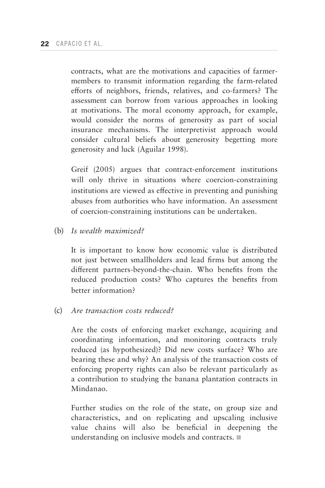contracts, what are the motivations and capacities of farmermembers to transmit information regarding the farm-related efforts of neighbors, friends, relatives, and co-farmers? The assessment can borrow from various approaches in looking at motivations. The moral economy approach, for example, would consider the norms of generosity as part of social insurance mechanisms. The interpretivist approach would consider cultural beliefs about generosity begetting more generosity and luck (Aguilar 1998).

Greif (2005) argues that contract-enforcement institutions will only thrive in situations where coercion-constraining institutions are viewed as effective in preventing and punishing abuses from authorities who have information. An assessment of coercion-constraining institutions can be undertaken.

(b) *Is wealth maximized?*

It is important to know how economic value is distributed not just between smallholders and lead firms but among the different partners-beyond-the-chain. Who benefits from the reduced production costs? Who captures the benefits from better information?

(c) *Are transaction costs reduced?*

Are the costs of enforcing market exchange, acquiring and coordinating information, and monitoring contracts truly reduced (as hypothesized)? Did new costs surface? Who are bearing these and why? An analysis of the transaction costs of enforcing property rights can also be relevant particularly as a contribution to studying the banana plantation contracts in Mindanao.

Further studies on the role of the state, on group size and characteristics, and on replicating and upscaling inclusive value chains will also be beneficial in deepening the understanding on inclusive models and contracts.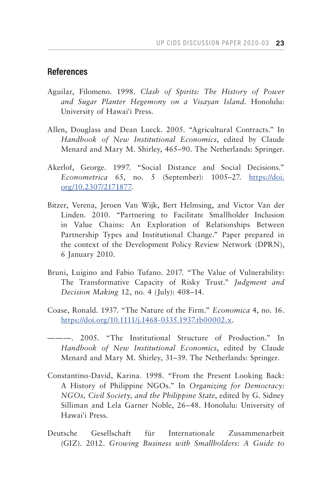# **References**

- Aguilar, Filomeno. 1998. *Clash of Spirits: The History of Power and Sugar Planter Hegemony on a Visayan Island*. Honolulu: University of Hawai'i Press.
- Allen, Douglass and Dean Lueck. 2005. "Agricultural Contracts." In *Handbook of New Institutional Economics*, edited by Claude Menard and Mary M. Shirley, 465–90. The Netherlands: Springer.
- Akerlof, George. 1997. "Social Distance and Social Decisions." *Econometrica* 65, no. 5 (September): 1005–27. [https://doi.](https://doi. org/10.2307/2171877) [org/10.2307/2171877](https://doi. org/10.2307/2171877).
- Bitzer, Verena, Jeroen Van Wijk, Bert Helmsing, and Victor Van der Linden. 2010. "Partnering to Facilitate Smallholder Inclusion in Value Chains: An Exploration of Relationships Between Partnership Types and Institutional Change." Paper prepared in the context of the Development Policy Review Network (DPRN), 6 January 2010.
- Bruni, Luigino and Fabio Tufano. 2017. "The Value of Vulnerability: The Transformative Capacity of Risky Trust." *Judgment and Decision Making* 12, no. 4 (July): 408–14.
- Coase, Ronald. 1937. "The Nature of the Firm." *Economica* 4, no. 16. <https://doi.org/10.1111/j.1468-0335.1937.tb00002.x>.
- ———. 2005. "The Institutional Structure of Production." In *Handbook of New Institutional Economics*, edited by Claude Menard and Mary M. Shirley, 31–39. The Netherlands: Springer.
- Constantino-David, Karina. 1998. "From the Present Looking Back: A History of Philippine NGOs." In *Organizing for Democracy: NGOs, Civil Society, and the Philippine State*, edited by G. Sidney Silliman and Lela Garner Noble, 26–48. Honolulu: University of Hawai'i Press.
- Deutsche Gesellschaft für Internationale Zusammenarbeit (GIZ). 2012. *Growing Business with Smallholders: A Guide to*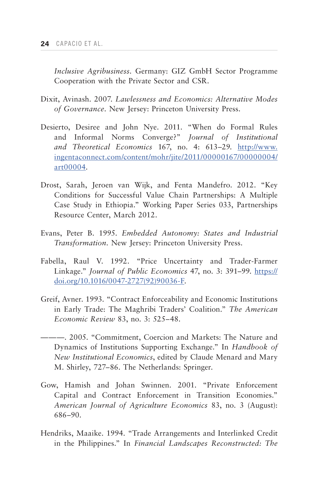*Inclusive Agribusiness.* Germany: GIZ GmbH Sector Programme Cooperation with the Private Sector and CSR.

- Dixit, Avinash. 2007. *Lawlessness and Economics: Alternative Modes of Governance.* New Jersey: Princeton University Press.
- Desierto, Desiree and John Nye. 2011. "When do Formal Rules and Informal Norms Converge?" *Journal of Institutional and Theoretical Economics* 167, no. 4: 613–29. [http://www.](http://www.ingentaconnect.com/content/mohr/jite/2011/00000167/00000004/ art00004) [ingentaconnect.com/content/mohr/jite/2011/00000167/00000004/](http://www.ingentaconnect.com/content/mohr/jite/2011/00000167/00000004/ art00004) [art00004.](http://www.ingentaconnect.com/content/mohr/jite/2011/00000167/00000004/ art00004)
- Drost, Sarah, Jeroen van Wijk, and Fenta Mandefro. 2012. "Key Conditions for Successful Value Chain Partnerships: A Multiple Case Study in Ethiopia." Working Paper Series 033, Partnerships Resource Center, March 2012.
- Evans, Peter B. 1995. *Embedded Autonomy: States and Industrial Transformation.* New Jersey: Princeton University Press.
- Fabella, Raul V. 1992. "Price Uncertainty and Trader-Farmer Linkage." *Journal of Public Economics* 47, no. 3: 391–99. [https://](https://doi.org/10.1016/0047-2727(92)90036-F) [doi.org/10.1016/0047-2727\(92\)90036-F.](https://doi.org/10.1016/0047-2727(92)90036-F)
- Greif, Avner. 1993. "Contract Enforceability and Economic Institutions in Early Trade: The Maghribi Traders' Coalition." *The American Economic Review* 83, no. 3: 525–48.
- ———. 2005. "Commitment, Coercion and Markets: The Nature and Dynamics of Institutions Supporting Exchange." In *Handbook of New Institutional Economics*, edited by Claude Menard and Mary M. Shirley, 727–86. The Netherlands: Springer.
- Gow, Hamish and Johan Swinnen. 2001. "Private Enforcement Capital and Contract Enforcement in Transition Economies." *American Journal of Agriculture Economics* 83, no. 3 (August): 686–90.
- Hendriks, Maaike. 1994. "Trade Arrangements and Interlinked Credit in the Philippines." In *Financial Landscapes Reconstructed: The*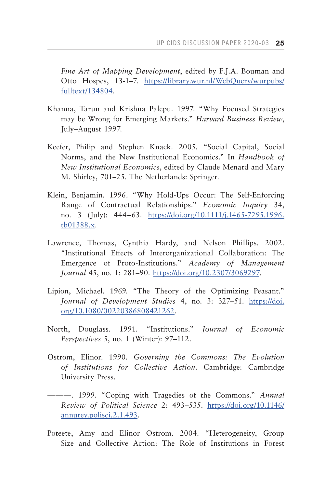*Fine Art of Mapping Development*, edited by F.J.A. Bouman and Otto Hospes, 13-1–7. [https://library.wur.nl/WebQuery/wurpubs/](https://library.wur.nl/WebQuery/wurpubs/ fulltext/134804) [fulltext/134804.](https://library.wur.nl/WebQuery/wurpubs/ fulltext/134804)

- Khanna, Tarun and Krishna Palepu. 1997. "Why Focused Strategies may be Wrong for Emerging Markets." *Harvard Business Review*, July–August 1997.
- Keefer, Philip and Stephen Knack. 2005. "Social Capital, Social Norms, and the New Institutional Economics." In *Handbook of New Institutional Economics*, edited by Claude Menard and Mary M. Shirley, 701–25. The Netherlands: Springer.
- Klein, Benjamin. 1996. "Why Hold-Ups Occur: The Self-Enforcing Range of Contractual Relationships." *Economic Inquiry* 34, no. 3 (July): 444–63. [https://doi.org/10.1111/j.1465-7295.1996.](https://doi.org/10.1111/j.1465-7295.1996.tb01388.x) [tb01388.x](https://doi.org/10.1111/j.1465-7295.1996.tb01388.x).
- Lawrence, Thomas, Cynthia Hardy, and Nelson Phillips. 2002. "Institutional Effects of Interorganizational Collaboration: The Emergence of Proto-Institutions." *Academy of Management Journal* 45, no. 1: 281–90. [https://doi.org/10.2307/3069297.](https://doi.org/10.2307/3069297)
- Lipion, Michael. 1969. "The Theory of the Optimizing Peasant." *Journal of Development Studies* 4, no. 3: 327–51. [https://doi.](https://doi.org/10.1080/00220386808421262) [org/10.1080/00220386808421262](https://doi.org/10.1080/00220386808421262).
- North, Douglass. 1991. "Institutions." *Journal of Economic Perspectives* 5, no. 1 (Winter): 97–112.
- Ostrom, Elinor. 1990. *Governing the Commons: The Evolution of Institutions for Collective Action.* Cambridge: Cambridge University Press.
- ———. 1999. "Coping with Tragedies of the Commons." *Annual Review of Political Science* 2: 493–535. [https://doi.org/10.1146/](https://doi.org/10.1146/ annurev.polisci.2.1.493)  [annurev.polisci.2.1.493.](https://doi.org/10.1146/ annurev.polisci.2.1.493)
- Poteete, Amy and Elinor Ostrom. 2004. "Heterogeneity, Group Size and Collective Action: The Role of Institutions in Forest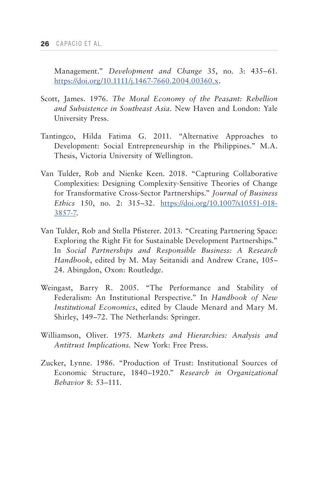Management." *Development and Change* 35, no. 3: 435–61. [https://doi.org/10.1111/j.1467-7660.2004.00360.x.](https://doi.org/10.1111/j.1467-7660.2004.00360.x)

- Scott, James. 1976. *The Moral Economy of the Peasant: Rebellion and Subsistence in Southeast Asia.* New Haven and London: Yale University Press.
- Tantingco, Hilda Fatima G. 2011. "Alternative Approaches to Development: Social Entrepreneurship in the Philippines." M.A. Thesis, Victoria University of Wellington.
- Van Tulder, Rob and Nienke Keen. 2018. "Capturing Collaborative Complexities: Designing Complexity-Sensitive Theories of Change for Transformative Cross-Sector Partnerships." *Journal of Business Ethics* 150, no. 2: 315–32. [https://doi.org/10.1007/s10551-018-](https://doi.org/10.1007/s10551-018-3857-7) [3857-7](https://doi.org/10.1007/s10551-018-3857-7).
- Van Tulder, Rob and Stella Pfisterer. 2013. "Creating Partnering Space: Exploring the Right Fit for Sustainable Development Partnerships." In *Social Partnerships and Responsible Business: A Research Handbook*, edited by M. May Seitanidi and Andrew Crane, 105– 24. Abingdon, Oxon: Routledge.
- Weingast, Barry R. 2005. "The Performance and Stability of Federalism: An Institutional Perspective." In *Handbook of New Institutional Economics*, edited by Claude Menard and Mary M. Shirley, 149–72. The Netherlands: Springer.
- Williamson, Oliver. 1975. *Markets and Hierarchies: Analysis and Antitrust Implications.* New York: Free Press.
- Zucker, Lynne. 1986. "Production of Trust: Institutional Sources of Economic Structure, 1840–1920." *Research in Organizational Behavior* 8: 53–111.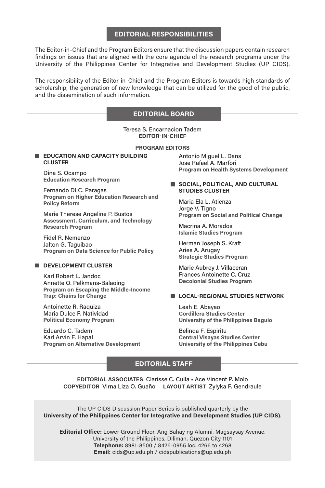#### **EDITORIAL RESPONSIBILITIES**

The Editor-in-Chief and the Program Editors ensure that the discussion papers contain research findings on issues that are aligned with the core agenda of the research programs under the University of the Philippines Center for Integrative and Development Studies (UP CIDS).

The responsibility of the Editor-in-Chief and the Program Editors is towards high standards of scholarship, the generation of new knowledge that can be utilized for the good of the public, and the dissemination of such information.

#### **EDITORIAL BOARD**

Teresa S. Encarnacion Tadem **EDITOR-IN-CHIEF**

#### **PROGRAM EDITORS**

**EDUCATION AND CAPACITY BUILDING CLUSTER**

Dina S. Ocampo **Education Research Program**

Fernando DLC. Paragas **Program on Higher Education Research and Policy Reform**

Marie Therese Angeline P. Bustos **Assessment, Curriculum, and Technology Research Program**

Fidel R. Nemenzo Jalton G. Taguibao **Program on Data Science for Public Policy**

#### **DEVELOPMENT CLUSTER**

Karl Robert L. Jandoc Annette O. Pelkmans-Balaoing **Program on Escaping the Middle-Income Trap: Chains for Change**

Antoinette R. Raquiza Maria Dulce F. Natividad **Political Economy Program**

Eduardo C. Tadem Karl Arvin F. Hapal **Program on Alternative Development** Antonio Miguel L. Dans Jose Rafael A. Marfori **Program on Health Systems Development**

#### **SOCIAL, POLITICAL, AND CULTURAL STUDIES CLUSTER**

Maria Ela L. Atienza Jorge V. Tigno **Program on Social and Political Change**

Macrina A. Morados **Islamic Studies Program**

Herman Joseph S. Kraft Aries A. Arugay **Strategic Studies Program**

Marie Aubrey J. Villaceran Frances Antoinette C. Cruz **Decolonial Studies Program**

#### **LOCAL-REGIONAL STUDIES NETWORK**

Leah E. Abayao **Cordillera Studies Center University of the Philippines Baguio**

Belinda F. Espiritu **Central Visayas Studies Center University of the Philippines Cebu**

#### **EDITORIAL STAFF**

**EDITORIAL ASSOCIATES** Clarisse C. Culla • Ace Vincent P. Molo **COPYEDITOR** Virna Liza O. Guaño **LAYOUT ARTIST** Zylyka F. Gendraule

The UP CIDS Discussion Paper Series is published quarterly by the **University of the Philippines Center for Integrative and Development Studies (UP CIDS)**.

**Editorial Office:** Lower Ground Floor, Ang Bahay ng Alumni, Magsaysay Avenue, University of the Philippines, Diliman, Quezon City 1101 **Telephone:** 8981-8500 / 8426-0955 loc. 4266 to 4268 **Email:** cids@up.edu.ph / cidspublications@up.edu.ph